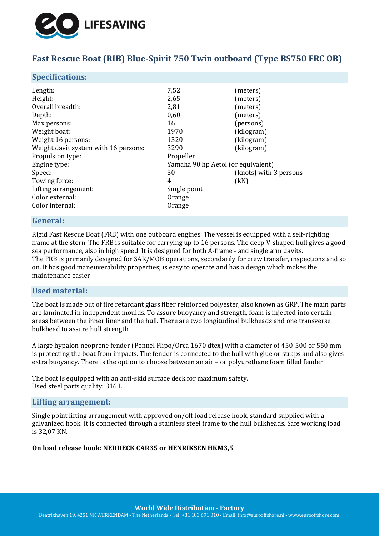

# **Fast Rescue Boat (RIB) Blue-Spirit 750 Twin outboard (Type BS750 FRC OB)**

### **Specifications:**

| Length:                              | 7,52                               | (meters)               |
|--------------------------------------|------------------------------------|------------------------|
| Height:                              | 2,65                               | (meters)               |
| Overall breadth:                     | 2,81                               | (meters)               |
| Depth:                               | 0,60                               | (meters)               |
| Max persons:                         | 16                                 | (persons)              |
| Weight boat:                         | 1970                               | (kilogram)             |
| Weight 16 persons:                   | 1320                               | (kilogram)             |
| Weight davit system with 16 persons: | 3290                               | (kilogram)             |
| Propulsion type:                     | Propeller                          |                        |
| Engine type:                         | Yamaha 90 hp Aetol (or equivalent) |                        |
| Speed:                               | 30                                 | (knots) with 3 persons |
| Towing force:                        | 4                                  | (kN)                   |
| Lifting arrangement:                 | Single point                       |                        |
| Color external:                      | Orange                             |                        |
| Color internal:                      | Orange                             |                        |

### **General:**

Rigid Fast Rescue Boat (FRB) with one outboard engines. The vessel is equipped with a self-righting frame at the stern. The FRB is suitable for carrying up to 16 persons. The deep V-shaped hull gives a good sea performance, also in high speed. It is designed for both A-frame - and single arm davits. The FRB is primarily designed for SAR/MOB operations, secondarily for crew transfer, inspections and so on. It has good maneuverability properties; is easy to operate and has a design which makes the maintenance easier.

### **Used material:**

The boat is made out of fire retardant glass fiber reinforced polyester, also known as GRP. The main parts are laminated in independent moulds. To assure buoyancy and strength, foam is injected into certain areas between the inner liner and the hull. There are two longitudinal bulkheads and one transverse bulkhead to assure hull strength.

A large hypalon neoprene fender (Pennel Flipo/Orca 1670 dtex) with a diameter of 450-500 or 550 mm is protecting the boat from impacts. The fender is connected to the hull with glue or straps and also gives extra buoyancy. There is the option to choose between an air – or polyurethane foam filled fender

The boat is equipped with an anti-skid surface deck for maximum safety. Used steel parts quality: 316 L

#### **Lifting arrangement:**

Single point lifting arrangement with approved on/off load release hook, standard supplied with a galvanized hook. It is connected through a stainless steel frame to the hull bulkheads. Safe working load is 32,07 KN.

#### **On load release hook: NEDDECK CAR35 or HENRIKSEN HKM3,5**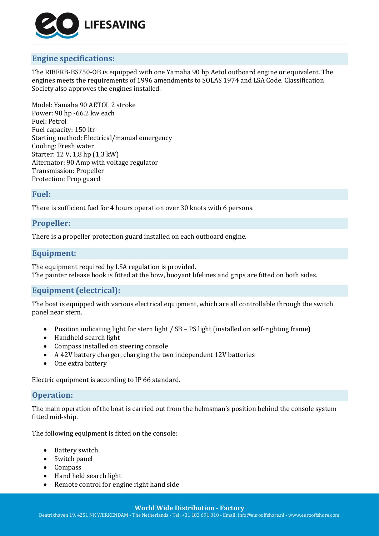

## **Engine specifications:**

The RIBFRB-BS750-OB is equipped with one Yamaha 90 hp Aetol outboard engine or equivalent. The engines meets the requirements of 1996 amendments to SOLAS 1974 and LSA Code. Classification Society also approves the engines installed.

Model: Yamaha 90 AETOL 2 stroke Power: 90 hp -66.2 kw each Fuel: Petrol Fuel capacity: 150 ltr Starting method: Electrical/manual emergency Cooling: Fresh water Starter: 12 V, 1,8 hp (1,3 kW) Alternator: 90 Amp with voltage regulator Transmission: Propeller Protection: Prop guard

### **Fuel:**

There is sufficient fuel for 4 hours operation over 30 knots with 6 persons.

## **Propeller:**

There is a propeller protection guard installed on each outboard engine.

### **Equipment:**

The equipment required by LSA regulation is provided. The painter release hook is fitted at the bow, buoyant lifelines and grips are fitted on both sides.

## **Equipment (electrical):**

The boat is equipped with various electrical equipment, which are all controllable through the switch panel near stern.

- Position indicating light for stern light / SB PS light (installed on self-righting frame)
- Handheld search light
- Compass installed on steering console
- A 42V battery charger, charging the two independent 12V batteries
- One extra battery

Electric equipment is according to IP 66 standard.

### **Operation:**

The main operation of the boat is carried out from the helmsman's position behind the console system fitted mid-ship.

The following equipment is fitted on the console:

- Battery switch
- Switch panel
- Compass
- Hand held search light
- Remote control for engine right hand side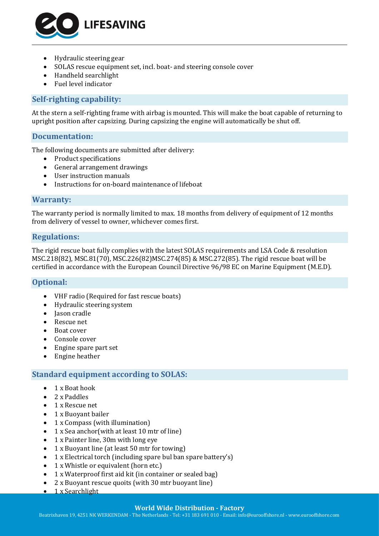

- Hydraulic steering gear
- SOLAS rescue equipment set, incl. boat- and steering console cover
- Handheld searchlight
- Fuel level indicator

### **Self-righting capability:**

At the stern a self-righting frame with airbag is mounted. This will make the boat capable of returning to upright position after capsizing. During capsizing the engine will automatically be shut off.

### **Documentation:**

The following documents are submitted after delivery:

- Product specifications
- General arrangement drawings
- User instruction manuals
- Instructions for on-board maintenance of lifeboat

#### **Warranty:**

The warranty period is normally limited to max. 18 months from delivery of equipment of 12 months from delivery of vessel to owner, whichever comes first.

### **Regulations:**

The rigid rescue boat fully complies with the latest SOLAS requirements and LSA Code & resolution MSC.218(82), MSC.81(70), MSC.226(82)MSC.274(85) & MSC.272(85). The rigid rescue boat will be certified in accordance with the European Council Directive 96/98 EC on Marine Equipment (M.E.D).

### **Optional:**

- VHF radio (Required for fast rescue boats)
- Hydraulic steering system
- Jason cradle
- Rescue net
- Boat cover
- Console cover
- Engine spare part set
- Engine heather

### **Standard equipment according to SOLAS:**

- 1 x Boat hook
- 2 x Paddles
- 1 x Rescue net
- 1 x Buoyant bailer
- 1 x Compass (with illumination)
- 1 x Sea anchor(with at least 10 mtr of line)
- 1 x Painter line, 30m with long eye
- 1 x Buoyant line (at least 50 mtr for towing)
- 1 x Electrical torch (including spare bul ban spare battery's)
- 1 x Whistle or equivalent (horn etc.)
- 1 x Waterproof first aid kit (in container or sealed bag)
- 2 x Buoyant rescue quoits (with 30 mtr buoyant line)
- $\bullet$  1 x Searchlight

### **World Wide Distribution - Factory**